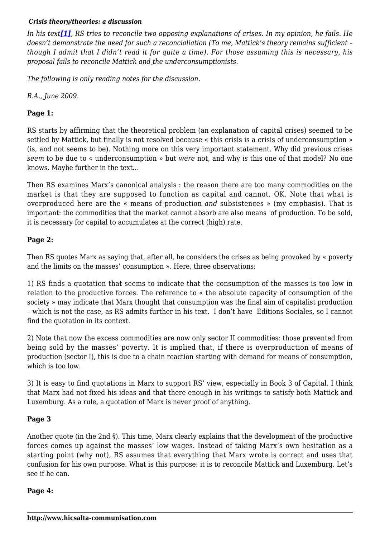*In his text[\[1\]](#page--1-0), RS tries to reconcile two opposing explanations of crises. In my opinion, he fails. He doesn't demonstrate the need for such a reconcialiation (To me, Mattick's theory remains sufficient – though I admit that I didn't read it for quite a time). For those assuming this is necessary, his proposal fails to reconcile Mattick and the underconsumptionists.*

*The following is only reading notes for the discussion.*

*B.A., June 2009.*

### **Page 1:**

RS starts by affirming that the theoretical problem (an explanation of capital crises) seemed to be settled by Mattick, but finally is not resolved because « this crisis is a crisis of underconsumption » (is, and not seems to be). Nothing more on this very important statement. Why did previous crises *seem* to be due to « underconsumption » but *were* not, and why *is* this one of that model? No one knows. Maybe further in the text…

Then RS examines Marx's canonical analysis : the reason there are too many commodities on the market is that they are supposed to function as capital and cannot. OK. Note that what is overproduced here are the « means of production *and* subsistences » (my emphasis). That is important: the commodities that the market cannot absorb are also means of production. To be sold, it is necessary for capital to accumulates at the correct (high) rate.

#### **Page 2:**

Then RS quotes Marx as saying that, after all, he considers the crises as being provoked by « poverty and the limits on the masses' consumption ». Here, three observations:

1) RS finds a quotation that seems to indicate that the consumption of the masses is too low in relation to the productive forces. The reference to « the absolute capacity of consumption of the society » may indicate that Marx thought that consumption was the final aim of capitalist production – which is not the case, as RS admits further in his text. I don't have Editions Sociales, so I cannot find the quotation in its context.

2) Note that now the excess commodities are now only sector II commodities: those prevented from being sold by the masses' poverty. It is implied that, if there is overproduction of means of production (sector I), this is due to a chain reaction starting with demand for means of consumption, which is too low.

3) It is easy to find quotations in Marx to support RS' view, especially in Book 3 of Capital. I think that Marx had not fixed his ideas and that there enough in his writings to satisfy both Mattick and Luxemburg. As a rule, a quotation of Marx is never proof of anything.

#### **Page 3**

Another quote (in the 2nd §). This time, Marx clearly explains that the development of the productive forces comes up against the masses' low wages. Instead of taking Marx's own hesitation as a starting point (why not), RS assumes that everything that Marx wrote is correct and uses that confusion for his own purpose. What is this purpose: it is to reconcile Mattick and Luxemburg. Let's see if he can.

#### **Page 4:**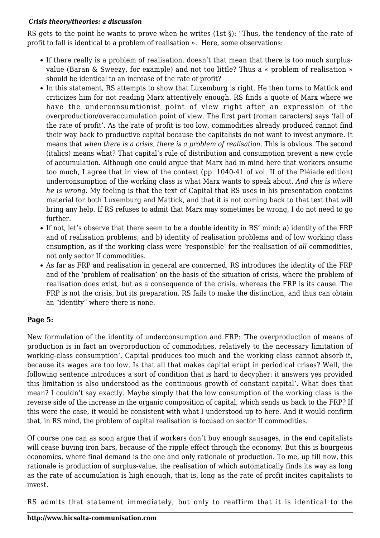RS gets to the point he wants to prove when he writes (1st §): "Thus, the tendency of the rate of profit to fall is identical to a problem of realisation ». Here, some observations:

- If there really is a problem of realisation, doesn't that mean that there is too much surplusvalue (Baran & Sweezy, for example) and not too little? Thus a « problem of realisation » should be identical to an increase of the rate of profit?
- In this statement, RS attempts to show that Luxemburg is right. He then turns to Mattick and criticizes him for not reading Marx attentively enough. RS finds a quote of Marx where we have the underconsumtionist point of view right after an expression of the overproduction/overaccumulation point of view. The first part (roman caracters) says 'fall of the rate of profit'. As the rate of profit is too low, commodities already produced cannot find their way back to productive capital because the capitalists do not want to invest anymore. It means that *when there is a crisis, there is a problem of realisation*. This is obvious. The second (italics) means what? That capital's rule of distribution and consumption prevent a new cycle of accumulation. Although one could argue that Marx had in mind here that workers onsume too much, I agree that in view of the context (pp. 1040-41 of vol. II of the Pléiade edition) underconsumption of the working class is what Marx wants to speak about. *And this is where he is wrong.* My feeling is that the text of Capital that RS uses in his presentation contains material for both Luxemburg and Mattick, and that it is not coming back to that text that will bring any help. If RS refuses to admit that Marx may sometimes be wrong, I do not need to go further.
- If not, let's observe that there seem to be a double identity in RS' mind: a) identity of the FRP and of realisation problems; and b) identity of realisation problems and of low working class cnsumption, as if the working class were 'responsible' for the realisation of *all* commodities, not only sector II commodities.
- As far as FRP and realisation in general are concerned, RS introduces the identity of the FRP and of the 'problem of realisation' on the basis of the situation of crisis, where the problem of realisation does exist, but as a consequence of the crisis, whereas the FRP is its cause. The FRP is not the crisis, but its preparation. RS fails to make the distinction, and thus can obtain an "identity" where there is none.

# **Page 5:**

New formulation of the identity of underconsumption and FRP: 'The overproduction of means of production is in fact an overproduction of commodities, relatively to the necessary limitation of working-class consumption'. Capital produces too much and the working class cannot absorb it, because its wages are too low. Is that all that makes capital erupt in periodical crises? Well, the following sentence introduces a sort of condition that is hard to decypher: it answers yes provided this limitation is also understood as the continuous growth of constant capital'. What does that mean? I couldn't say exactly. Maybe simply that the low consumption of the working class is the reverse side of the increase in the organic composition of capital, which sends us back to the FRP? If this were the case, it would be consistent with what I understood up to here. And it would confirm that, in RS mind, the problem of capital realisation is focused on sector II commodities.

Of course one can as soon argue that if workers don't buy enough sausages, in the end capitalists will cease buying iron bars, because of the ripple effect through the economy. But this is bourgeois economics, where final demand is the one and only rationale of production. To me, up till now, this rationale is production of surplus-value, the realisation of which automatically finds its way as long as the rate of accumulation is high enough, that is, long as the rate of profit incites capitalists to invest.

RS admits that statement immediately, but only to reaffirm that it is identical to the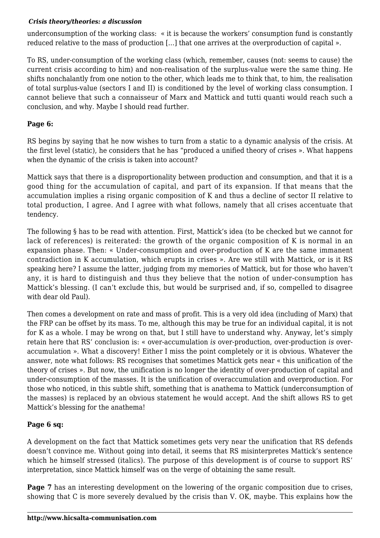underconsumption of the working class: « it is because the workers' consumption fund is constantly reduced relative to the mass of production […] that one arrives at the overproduction of capital ».

To RS, under-consumption of the working class (which, remember, causes (not: seems to cause) the current crisis according to him) and non-realisation of the surplus-value were the same thing. He shifts nonchalantly from one notion to the other, which leads me to think that, to him, the realisation of total surplus-value (sectors I and II) is conditioned by the level of working class consumption. I cannot believe that such a connaisseur of Marx and Mattick and tutti quanti would reach such a conclusion, and why. Maybe I should read further.

# **Page 6:**

RS begins by saying that he now wishes to turn from a static to a dynamic analysis of the crisis. At the first level (static), he considers that he has "produced a unified theory of crises ». What happens when the dynamic of the crisis is taken into account?

Mattick says that there is a disproportionality between production and consumption, and that it is a good thing for the accumulation of capital, and part of its expansion. If that means that the accumulation implies a rising organic composition of K and thus a decline of sector II relative to total production, I agree. And I agree with what follows, namely that all crises accentuate that tendency.

The following § has to be read with attention. First, Mattick's idea (to be checked but we cannot for lack of references) is reiterated: the growth of the organic composition of K is normal in an expansion phase. Then: « Under-consumption and over-production of K are the same immanent contradiction in K accumulation, which erupts in crises ». Are we still with Mattick, or is it RS speaking here? I assume the latter, judging from my memories of Mattick, but for those who haven't any, it is hard to distinguish and thus they believe that the notion of under-consumption has Mattick's blessing. (I can't exclude this, but would be surprised and, if so, compelled to disagree with dear old Paul).

Then comes a development on rate and mass of profit. This is a very old idea (including of Marx) that the FRP can be offset by its mass. To me, although this may be true for an individual capital, it is not for K as a whole. I may be wrong on that, but I still have to understand why. Anyway, let's simply retain here that RS' conclusion is: « over-accumulation *is* over-production, over-production *is* overaccumulation ». What a discovery! Either I miss the point completely or it is obvious. Whatever the answer, note what follows: RS recognises that sometimes Mattick gets near « this unification of the theory of crises ». But now, the unification is no longer the identity of over-production of capital and under-consumption of the masses. It is the unification of overaccumulation and overproduction. For those who noticed, in this subtle shift, something that is anathema to Mattick (underconsumption of the masses) is replaced by an obvious statement he would accept. And the shift allows RS to get Mattick's blessing for the anathema!

# **Page 6 sq:**

A development on the fact that Mattick sometimes gets very near the unification that RS defends doesn't convince me. Without going into detail, it seems that RS misinterpretes Mattick's sentence which he himself stressed (italics). The purpose of this development is of course to support RS' interpretation, since Mattick himself was on the verge of obtaining the same result.

**Page 7** has an interesting development on the lowering of the organic composition due to crises, showing that C is more severely devalued by the crisis than V. OK, maybe. This explains how the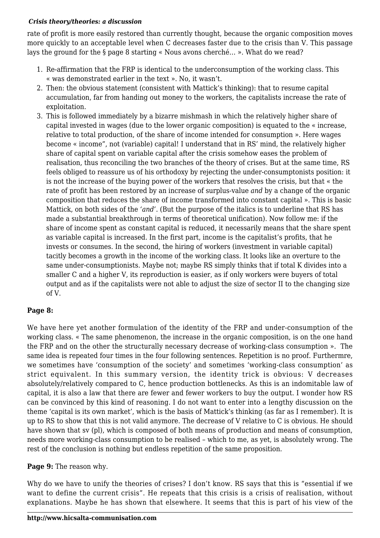rate of profit is more easily restored than currently thought, because the organic composition moves more quickly to an acceptable level when C decreases faster due to the crisis than V. This passage lays the ground for the § page 8 starting « Nous avons cherché… ». What do we read?

- 1. Re-affirmation that the FRP is identical to the underconsumption of the working class. This « was demonstrated earlier in the text ». No, it wasn't.
- 2. Then: the obvious statement (consistent with Mattick's thinking): that to resume capital accumulation, far from handing out money to the workers, the capitalists increase the rate of exploitation.
- 3. This is followed immediately by a bizarre mishmash in which the relatively higher share of capital invested in wages (due to the lower organic composition) is equated to the « increase, relative to total production, of the share of income intended for consumption ». Here wages become « income", not (variable) capital! I understand that in RS' mind, the relatively higher share of capital spent on variable capital after the crisis somehow eases the problem of realisation, thus reconciling the two branches of the theory of crises. But at the same time, RS feels obliged to reassure us of his orthodoxy by rejecting the under-consumptonists position: it is not the increase of the buying power of the workers that resolves the crisis, but that « the rate of profit has been restored by an increase of surplus-value *and* by a change of the organic composition that reduces the share of income transformed into constant capital ». This is basic Mattick, on both sides of the *'and'*. (But the purpose of the italics is to underline that RS has made a substantial breakthrough in terms of theoretical unification). Now follow me: if the share of income spent as constant capital is reduced, it necessarily means that the share spent as variable capital is increased. In the first part, income is the capitalist's profits, that he invests or consumes. In the second, the hiring of workers (investment in variable capital) tacitly becomes a growth in the income of the working class. It looks like an overture to the same under-consumptionists. Maybe not; maybe RS simply thinks that if total K divides into a smaller C and a higher V, its reproduction is easier, as if only workers were buyers of total output and as if the capitalists were not able to adjust the size of sector II to the changing size of V.

# **Page 8:**

We have here yet another formulation of the identity of the FRP and under-consumption of the working class. « The same phenomenon, the increase in the organic composition, is on the one hand the FRP and on the other the structurally necessary decrease of working-class consumption ». The same idea is repeated four times in the four following sentences. Repetition is no proof. Furthermre, we sometimes have 'consumption of the society' and sometimes 'working-class consumption' as strict equivalent. In this summary version, the identity trick is obvious: V decreases absolutely/relatively compared to C, hence production bottlenecks. As this is an indomitable law of capital, it is also a law that there are fewer and fewer workers to buy the output. I wonder how RS can be convinced by this kind of reasoning. I do not want to enter into a lengthy discussion on the theme 'capital is its own market', which is the basis of Mattick's thinking (as far as I remember). It is up to RS to show that this is not valid anymore. The decrease of V relative to C is obvious. He should have shown that sv (pl), which is composed of both means of production and means of consumption, needs more working-class consumption to be realised – which to me, as yet, is absolutely wrong. The rest of the conclusion is nothing but endless repetition of the same proposition.

# **Page 9:** The reason why.

Why do we have to unify the theories of crises? I don't know. RS says that this is "essential if we want to define the current crisis". He repeats that this crisis is a crisis of realisation, without explanations. Maybe he has shown that elsewhere. It seems that this is part of his view of the